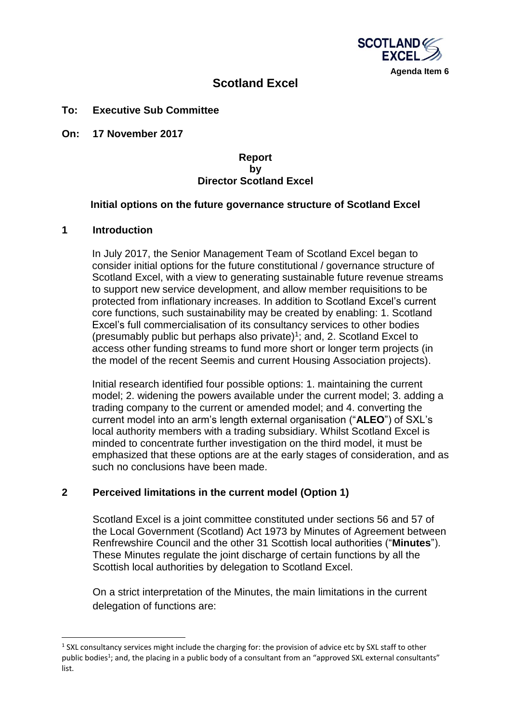

# **Scotland Excel**

#### **To: Executive Sub Committee**

**On: 17 November 2017**

#### **Report by Director Scotland Excel**

#### **Initial options on the future governance structure of Scotland Excel**

#### **1 Introduction**

**.** 

In July 2017, the Senior Management Team of Scotland Excel began to consider initial options for the future constitutional / governance structure of Scotland Excel, with a view to generating sustainable future revenue streams to support new service development, and allow member requisitions to be protected from inflationary increases. In addition to Scotland Excel's current core functions, such sustainability may be created by enabling: 1. Scotland Excel's full commercialisation of its consultancy services to other bodies (presumably public but perhaps also private)<sup>1</sup> ; and, 2. Scotland Excel to access other funding streams to fund more short or longer term projects (in the model of the recent Seemis and current Housing Association projects).

Initial research identified four possible options: 1. maintaining the current model; 2. widening the powers available under the current model; 3. adding a trading company to the current or amended model; and 4. converting the current model into an arm's length external organisation ("**ALEO**") of SXL's local authority members with a trading subsidiary. Whilst Scotland Excel is minded to concentrate further investigation on the third model, it must be emphasized that these options are at the early stages of consideration, and as such no conclusions have been made.

#### **2 Perceived limitations in the current model (Option 1)**

Scotland Excel is a joint committee constituted under sections 56 and 57 of the Local Government (Scotland) Act 1973 by Minutes of Agreement between Renfrewshire Council and the other 31 Scottish local authorities ("**Minutes**"). These Minutes regulate the joint discharge of certain functions by all the Scottish local authorities by delegation to Scotland Excel.

On a strict interpretation of the Minutes, the main limitations in the current delegation of functions are:

<sup>&</sup>lt;sup>1</sup> SXL consultancy services might include the charging for: the provision of advice etc by SXL staff to other public bodies<sup>1</sup>; and, the placing in a public body of a consultant from an "approved SXL external consultants" list.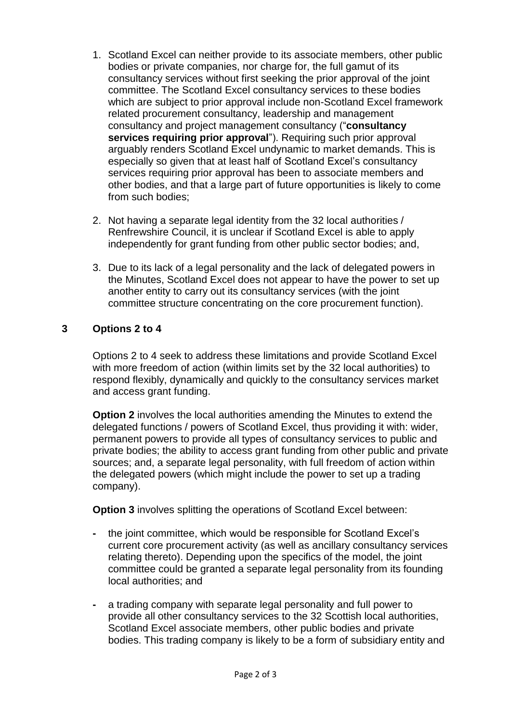- 1. Scotland Excel can neither provide to its associate members, other public bodies or private companies, nor charge for, the full gamut of its consultancy services without first seeking the prior approval of the joint committee. The Scotland Excel consultancy services to these bodies which are subject to prior approval include non-Scotland Excel framework related procurement consultancy, leadership and management consultancy and project management consultancy ("**consultancy services requiring prior approval**"). Requiring such prior approval arguably renders Scotland Excel undynamic to market demands. This is especially so given that at least half of Scotland Excel's consultancy services requiring prior approval has been to associate members and other bodies, and that a large part of future opportunities is likely to come from such bodies;
- 2. Not having a separate legal identity from the 32 local authorities / Renfrewshire Council, it is unclear if Scotland Excel is able to apply independently for grant funding from other public sector bodies; and,
- 3. Due to its lack of a legal personality and the lack of delegated powers in the Minutes, Scotland Excel does not appear to have the power to set up another entity to carry out its consultancy services (with the joint committee structure concentrating on the core procurement function).

# **3 Options 2 to 4**

Options 2 to 4 seek to address these limitations and provide Scotland Excel with more freedom of action (within limits set by the 32 local authorities) to respond flexibly, dynamically and quickly to the consultancy services market and access grant funding.

**Option 2** involves the local authorities amending the Minutes to extend the delegated functions / powers of Scotland Excel, thus providing it with: wider, permanent powers to provide all types of consultancy services to public and private bodies; the ability to access grant funding from other public and private sources; and, a separate legal personality, with full freedom of action within the delegated powers (which might include the power to set up a trading company).

**Option 3** involves splitting the operations of Scotland Excel between:

- **-** the joint committee, which would be responsible for Scotland Excel's current core procurement activity (as well as ancillary consultancy services relating thereto). Depending upon the specifics of the model, the joint committee could be granted a separate legal personality from its founding local authorities; and
- **-** a trading company with separate legal personality and full power to provide all other consultancy services to the 32 Scottish local authorities, Scotland Excel associate members, other public bodies and private bodies. This trading company is likely to be a form of subsidiary entity and